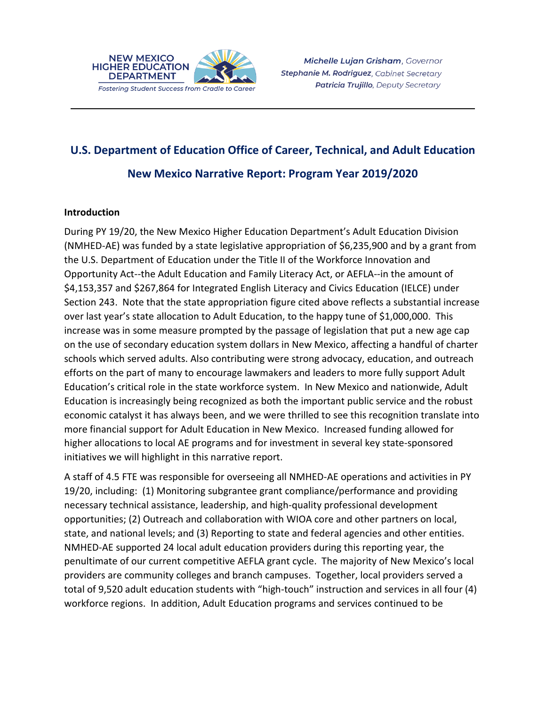

# **U.S. Department of Education Office of Career, Technical, and Adult Education**

\_\_\_\_\_\_\_\_\_\_\_\_\_\_\_\_\_\_\_\_\_\_\_\_\_\_\_\_\_\_\_\_\_\_\_\_\_\_\_\_\_\_\_\_\_\_\_\_\_\_\_\_\_\_\_\_\_\_\_\_\_\_\_\_\_

**New Mexico Narrative Report: Program Year 2019/2020**

#### **Introduction**

During PY 19/20, the New Mexico Higher Education Department's Adult Education Division (NMHED-AE) was funded by a state legislative appropriation of \$6,235,900 and by a grant from the U.S. Department of Education under the Title II of the Workforce Innovation and Opportunity Act--the Adult Education and Family Literacy Act, or AEFLA--in the amount of \$4,153,357 and \$267,864 for Integrated English Literacy and Civics Education (IELCE) under Section 243. Note that the state appropriation figure cited above reflects a substantial increase over last year's state allocation to Adult Education, to the happy tune of \$1,000,000. This increase was in some measure prompted by the passage of legislation that put a new age cap on the use of secondary education system dollars in New Mexico, affecting a handful of charter schools which served adults. Also contributing were strong advocacy, education, and outreach efforts on the part of many to encourage lawmakers and leaders to more fully support Adult Education's critical role in the state workforce system. In New Mexico and nationwide, Adult Education is increasingly being recognized as both the important public service and the robust economic catalyst it has always been, and we were thrilled to see this recognition translate into more financial support for Adult Education in New Mexico. Increased funding allowed for higher allocations to local AE programs and for investment in several key state-sponsored initiatives we will highlight in this narrative report.

A staff of 4.5 FTE was responsible for overseeing all NMHED-AE operations and activities in PY 19/20, including: (1) Monitoring subgrantee grant compliance/performance and providing necessary technical assistance, leadership, and high-quality professional development opportunities; (2) Outreach and collaboration with WIOA core and other partners on local, state, and national levels; and (3) Reporting to state and federal agencies and other entities. NMHED-AE supported 24 local adult education providers during this reporting year, the penultimate of our current competitive AEFLA grant cycle. The majority of New Mexico's local providers are community colleges and branch campuses. Together, local providers served a total of 9,520 adult education students with "high-touch" instruction and services in all four (4) workforce regions. In addition, Adult Education programs and services continued to be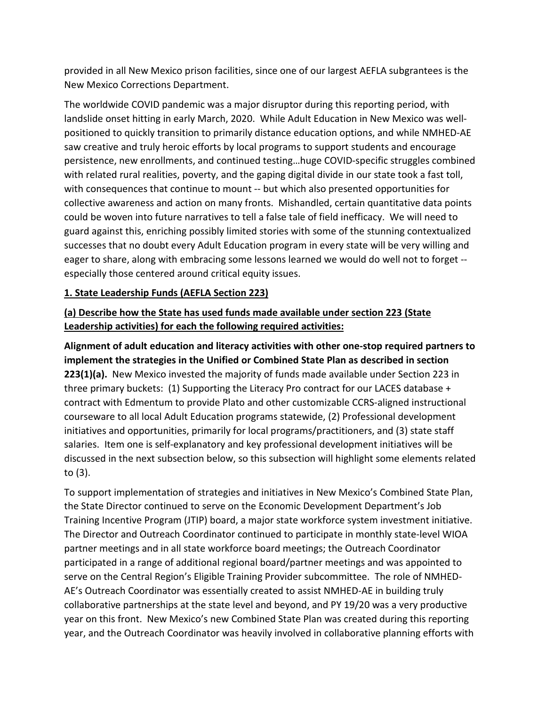provided in all New Mexico prison facilities, since one of our largest AEFLA subgrantees is the New Mexico Corrections Department.

The worldwide COVID pandemic was a major disruptor during this reporting period, with landslide onset hitting in early March, 2020. While Adult Education in New Mexico was wellpositioned to quickly transition to primarily distance education options, and while NMHED-AE saw creative and truly heroic efforts by local programs to support students and encourage persistence, new enrollments, and continued testing…huge COVID-specific struggles combined with related rural realities, poverty, and the gaping digital divide in our state took a fast toll, with consequences that continue to mount -- but which also presented opportunities for collective awareness and action on many fronts. Mishandled, certain quantitative data points could be woven into future narratives to tell a false tale of field inefficacy. We will need to guard against this, enriching possibly limited stories with some of the stunning contextualized successes that no doubt every Adult Education program in every state will be very willing and eager to share, along with embracing some lessons learned we would do well not to forget - especially those centered around critical equity issues.

#### **1. State Leadership Funds (AEFLA Section 223)**

### **(a) Describe how the State has used funds made available under section 223 (State Leadership activities) for each the following required activities:**

**Alignment of adult education and literacy activities with other one-stop required partners to implement the strategies in the Unified or Combined State Plan as described in section 223(1)(a).** New Mexico invested the majority of funds made available under Section 223 in three primary buckets: (1) Supporting the Literacy Pro contract for our LACES database + contract with Edmentum to provide Plato and other customizable CCRS-aligned instructional courseware to all local Adult Education programs statewide, (2) Professional development initiatives and opportunities, primarily for local programs/practitioners, and (3) state staff salaries. Item one is self-explanatory and key professional development initiatives will be discussed in the next subsection below, so this subsection will highlight some elements related to (3).

To support implementation of strategies and initiatives in New Mexico's Combined State Plan, the State Director continued to serve on the Economic Development Department's Job Training Incentive Program (JTIP) board, a major state workforce system investment initiative. The Director and Outreach Coordinator continued to participate in monthly state-level WIOA partner meetings and in all state workforce board meetings; the Outreach Coordinator participated in a range of additional regional board/partner meetings and was appointed to serve on the Central Region's Eligible Training Provider subcommittee. The role of NMHED-AE's Outreach Coordinator was essentially created to assist NMHED-AE in building truly collaborative partnerships at the state level and beyond, and PY 19/20 was a very productive year on this front. New Mexico's new Combined State Plan was created during this reporting year, and the Outreach Coordinator was heavily involved in collaborative planning efforts with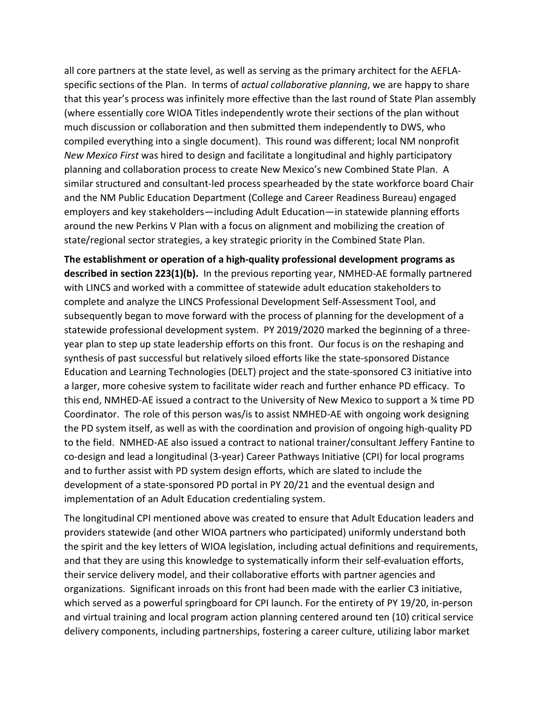all core partners at the state level, as well as serving as the primary architect for the AEFLAspecific sections of the Plan. In terms of *actual collaborative planning*, we are happy to share that this year's process was infinitely more effective than the last round of State Plan assembly (where essentially core WIOA Titles independently wrote their sections of the plan without much discussion or collaboration and then submitted them independently to DWS, who compiled everything into a single document). This round was different; local NM nonprofit *New Mexico First* was hired to design and facilitate a longitudinal and highly participatory planning and collaboration process to create New Mexico's new Combined State Plan. A similar structured and consultant-led process spearheaded by the state workforce board Chair and the NM Public Education Department (College and Career Readiness Bureau) engaged employers and key stakeholders—including Adult Education—in statewide planning efforts around the new Perkins V Plan with a focus on alignment and mobilizing the creation of state/regional sector strategies, a key strategic priority in the Combined State Plan.

**The establishment or operation of a high-quality professional development programs as described in section 223(1)(b).** In the previous reporting year, NMHED-AE formally partnered with LINCS and worked with a committee of statewide adult education stakeholders to complete and analyze the LINCS Professional Development Self-Assessment Tool, and subsequently began to move forward with the process of planning for the development of a statewide professional development system. PY 2019/2020 marked the beginning of a threeyear plan to step up state leadership efforts on this front. Our focus is on the reshaping and synthesis of past successful but relatively siloed efforts like the state-sponsored Distance Education and Learning Technologies (DELT) project and the state-sponsored C3 initiative into a larger, more cohesive system to facilitate wider reach and further enhance PD efficacy. To this end, NMHED-AE issued a contract to the University of New Mexico to support a ¾ time PD Coordinator. The role of this person was/is to assist NMHED-AE with ongoing work designing the PD system itself, as well as with the coordination and provision of ongoing high-quality PD to the field. NMHED-AE also issued a contract to national trainer/consultant Jeffery Fantine to co-design and lead a longitudinal (3-year) Career Pathways Initiative (CPI) for local programs and to further assist with PD system design efforts, which are slated to include the development of a state-sponsored PD portal in PY 20/21 and the eventual design and implementation of an Adult Education credentialing system.

The longitudinal CPI mentioned above was created to ensure that Adult Education leaders and providers statewide (and other WIOA partners who participated) uniformly understand both the spirit and the key letters of WIOA legislation, including actual definitions and requirements, and that they are using this knowledge to systematically inform their self-evaluation efforts, their service delivery model, and their collaborative efforts with partner agencies and organizations. Significant inroads on this front had been made with the earlier C3 initiative, which served as a powerful springboard for CPI launch. For the entirety of PY 19/20, in-person and virtual training and local program action planning centered around ten (10) critical service delivery components, including partnerships, fostering a career culture, utilizing labor market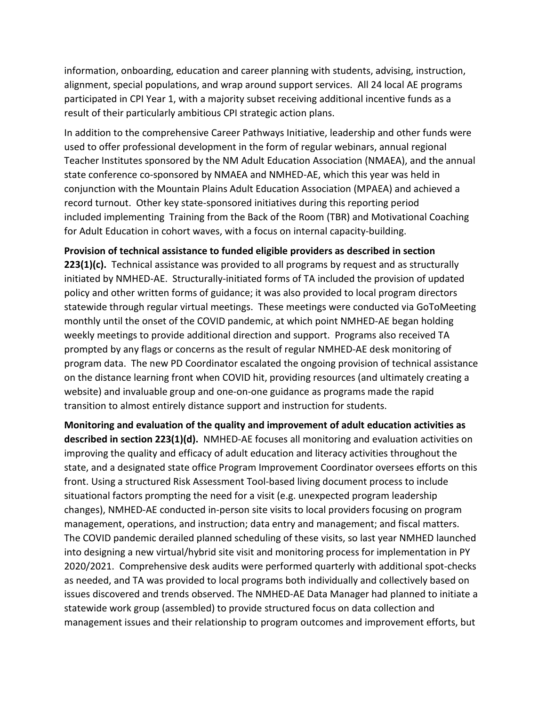information, onboarding, education and career planning with students, advising, instruction, alignment, special populations, and wrap around support services. All 24 local AE programs participated in CPI Year 1, with a majority subset receiving additional incentive funds as a result of their particularly ambitious CPI strategic action plans.

In addition to the comprehensive Career Pathways Initiative, leadership and other funds were used to offer professional development in the form of regular webinars, annual regional Teacher Institutes sponsored by the NM Adult Education Association (NMAEA), and the annual state conference co-sponsored by NMAEA and NMHED-AE, which this year was held in conjunction with the Mountain Plains Adult Education Association (MPAEA) and achieved a record turnout. Other key state-sponsored initiatives during this reporting period included implementing Training from the Back of the Room (TBR) and Motivational Coaching for Adult Education in cohort waves, with a focus on internal capacity-building.

**Provision of technical assistance to funded eligible providers as described in section 223(1)(c).** Technical assistance was provided to all programs by request and as structurally initiated by NMHED-AE. Structurally-initiated forms of TA included the provision of updated policy and other written forms of guidance; it was also provided to local program directors statewide through regular virtual meetings. These meetings were conducted via GoToMeeting monthly until the onset of the COVID pandemic, at which point NMHED-AE began holding weekly meetings to provide additional direction and support. Programs also received TA prompted by any flags or concerns as the result of regular NMHED-AE desk monitoring of program data. The new PD Coordinator escalated the ongoing provision of technical assistance on the distance learning front when COVID hit, providing resources (and ultimately creating a website) and invaluable group and one-on-one guidance as programs made the rapid transition to almost entirely distance support and instruction for students.

**Monitoring and evaluation of the quality and improvement of adult education activities as described in section 223(1)(d).** NMHED-AE focuses all monitoring and evaluation activities on improving the quality and efficacy of adult education and literacy activities throughout the state, and a designated state office Program Improvement Coordinator oversees efforts on this front. Using a structured Risk Assessment Tool-based living document process to include situational factors prompting the need for a visit (e.g. unexpected program leadership changes), NMHED-AE conducted in-person site visits to local providers focusing on program management, operations, and instruction; data entry and management; and fiscal matters. The COVID pandemic derailed planned scheduling of these visits, so last year NMHED launched into designing a new virtual/hybrid site visit and monitoring process for implementation in PY 2020/2021. Comprehensive desk audits were performed quarterly with additional spot-checks as needed, and TA was provided to local programs both individually and collectively based on issues discovered and trends observed. The NMHED-AE Data Manager had planned to initiate a statewide work group (assembled) to provide structured focus on data collection and management issues and their relationship to program outcomes and improvement efforts, but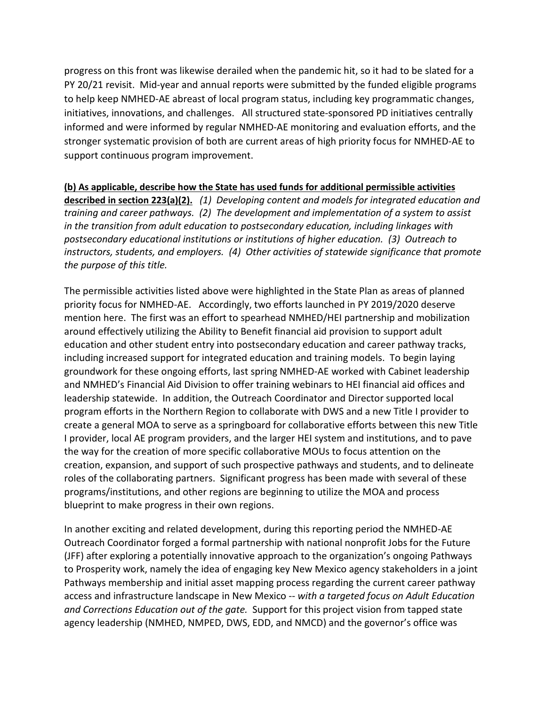progress on this front was likewise derailed when the pandemic hit, so it had to be slated for a PY 20/21 revisit. Mid-year and annual reports were submitted by the funded eligible programs to help keep NMHED-AE abreast of local program status, including key programmatic changes, initiatives, innovations, and challenges. All structured state-sponsored PD initiatives centrally informed and were informed by regular NMHED-AE monitoring and evaluation efforts, and the stronger systematic provision of both are current areas of high priority focus for NMHED-AE to support continuous program improvement.

#### **(b) As applicable, describe how the State has used funds for additional permissible activities**

**described in section 223(a)(2).** *(1) Developing content and models for integrated education and training and career pathways. (2) The development and implementation of a system to assist in the transition from adult education to postsecondary education, including linkages with postsecondary educational institutions or institutions of higher education. (3) Outreach to instructors, students, and employers. (4) Other activities of statewide significance that promote the purpose of this title.* 

The permissible activities listed above were highlighted in the State Plan as areas of planned priority focus for NMHED-AE. Accordingly, two efforts launched in PY 2019/2020 deserve mention here. The first was an effort to spearhead NMHED/HEI partnership and mobilization around effectively utilizing the Ability to Benefit financial aid provision to support adult education and other student entry into postsecondary education and career pathway tracks, including increased support for integrated education and training models. To begin laying groundwork for these ongoing efforts, last spring NMHED-AE worked with Cabinet leadership and NMHED's Financial Aid Division to offer training webinars to HEI financial aid offices and leadership statewide. In addition, the Outreach Coordinator and Director supported local program efforts in the Northern Region to collaborate with DWS and a new Title I provider to create a general MOA to serve as a springboard for collaborative efforts between this new Title I provider, local AE program providers, and the larger HEI system and institutions, and to pave the way for the creation of more specific collaborative MOUs to focus attention on the creation, expansion, and support of such prospective pathways and students, and to delineate roles of the collaborating partners. Significant progress has been made with several of these programs/institutions, and other regions are beginning to utilize the MOA and process blueprint to make progress in their own regions.

In another exciting and related development, during this reporting period the NMHED-AE Outreach Coordinator forged a formal partnership with national nonprofit Jobs for the Future (JFF) after exploring a potentially innovative approach to the organization's ongoing Pathways to Prosperity work, namely the idea of engaging key New Mexico agency stakeholders in a joint Pathways membership and initial asset mapping process regarding the current career pathway access and infrastructure landscape in New Mexico -- *with a targeted focus on Adult Education and Corrections Education out of the gate.* Support for this project vision from tapped state agency leadership (NMHED, NMPED, DWS, EDD, and NMCD) and the governor's office was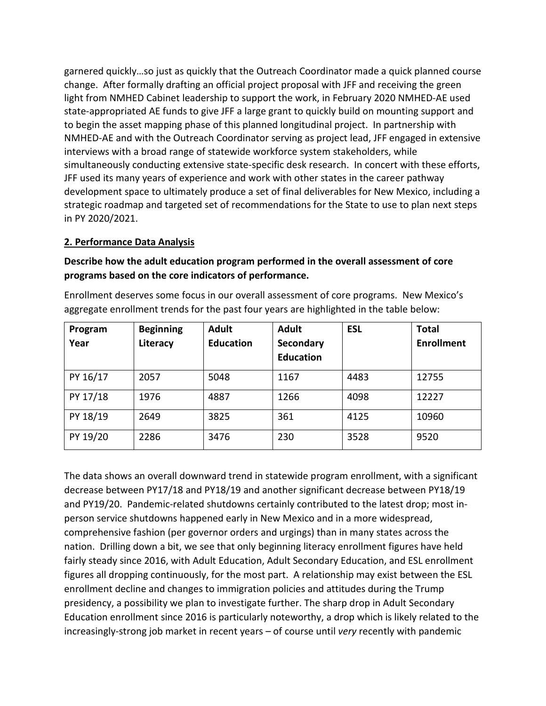garnered quickly…so just as quickly that the Outreach Coordinator made a quick planned course change. After formally drafting an official project proposal with JFF and receiving the green light from NMHED Cabinet leadership to support the work, in February 2020 NMHED-AE used state-appropriated AE funds to give JFF a large grant to quickly build on mounting support and to begin the asset mapping phase of this planned longitudinal project. In partnership with NMHED-AE and with the Outreach Coordinator serving as project lead, JFF engaged in extensive interviews with a broad range of statewide workforce system stakeholders, while simultaneously conducting extensive state-specific desk research. In concert with these efforts, JFF used its many years of experience and work with other states in the career pathway development space to ultimately produce a set of final deliverables for New Mexico, including a strategic roadmap and targeted set of recommendations for the State to use to plan next steps in PY 2020/2021.

#### **2. Performance Data Analysis**

**Describe how the adult education program performed in the overall assessment of core programs based on the core indicators of performance.** 

Enrollment deserves some focus in our overall assessment of core programs. New Mexico's aggregate enrollment trends for the past four years are highlighted in the table below:

| Program<br>Year | <b>Beginning</b><br>Literacy | <b>Adult</b><br><b>Education</b> | <b>Adult</b><br>Secondary<br><b>Education</b> | <b>ESL</b> | <b>Total</b><br><b>Enrollment</b> |
|-----------------|------------------------------|----------------------------------|-----------------------------------------------|------------|-----------------------------------|
| PY 16/17        | 2057                         | 5048                             | 1167                                          | 4483       | 12755                             |
| PY 17/18        | 1976                         | 4887                             | 1266                                          | 4098       | 12227                             |
| PY 18/19        | 2649                         | 3825                             | 361                                           | 4125       | 10960                             |
| PY 19/20        | 2286                         | 3476                             | 230                                           | 3528       | 9520                              |

The data shows an overall downward trend in statewide program enrollment, with a significant decrease between PY17/18 and PY18/19 and another significant decrease between PY18/19 and PY19/20. Pandemic-related shutdowns certainly contributed to the latest drop; most inperson service shutdowns happened early in New Mexico and in a more widespread, comprehensive fashion (per governor orders and urgings) than in many states across the nation. Drilling down a bit, we see that only beginning literacy enrollment figures have held fairly steady since 2016, with Adult Education, Adult Secondary Education, and ESL enrollment figures all dropping continuously, for the most part. A relationship may exist between the ESL enrollment decline and changes to immigration policies and attitudes during the Trump presidency, a possibility we plan to investigate further. The sharp drop in Adult Secondary Education enrollment since 2016 is particularly noteworthy, a drop which is likely related to the increasingly-strong job market in recent years – of course until *very* recently with pandemic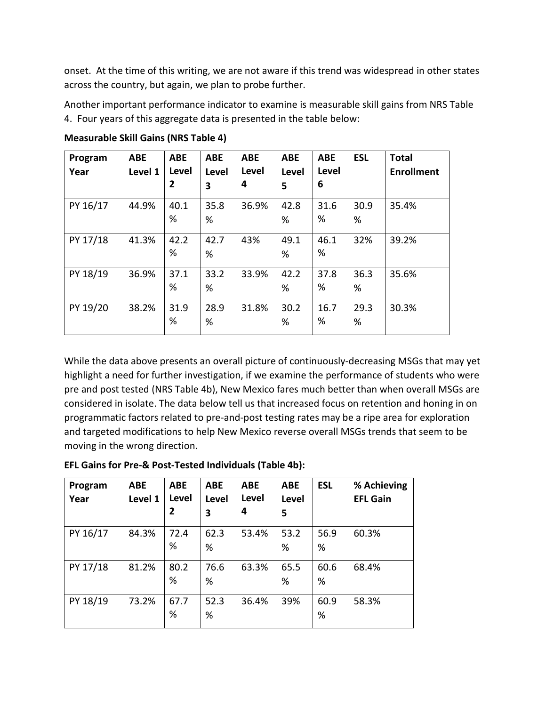onset. At the time of this writing, we are not aware if this trend was widespread in other states across the country, but again, we plan to probe further.

Another important performance indicator to examine is measurable skill gains from NRS Table 4. Four years of this aggregate data is presented in the table below:

| Program<br>Year | <b>ABE</b><br>Level 1 | <b>ABE</b><br>Level<br>$\overline{2}$ | <b>ABE</b><br>Level<br>3 | <b>ABE</b><br>Level<br>4 | <b>ABE</b><br><b>Level</b><br>5 | <b>ABE</b><br>Level<br>6 | <b>ESL</b> | <b>Total</b><br><b>Enrollment</b> |
|-----------------|-----------------------|---------------------------------------|--------------------------|--------------------------|---------------------------------|--------------------------|------------|-----------------------------------|
| PY 16/17        | 44.9%                 | 40.1<br>%                             | 35.8<br>%                | 36.9%                    | 42.8<br>%                       | 31.6<br>%                | 30.9<br>%  | 35.4%                             |
| PY 17/18        | 41.3%                 | 42.2<br>%                             | 42.7<br>%                | 43%                      | 49.1<br>%                       | 46.1<br>%                | 32%        | 39.2%                             |
| PY 18/19        | 36.9%                 | 37.1<br>%                             | 33.2<br>%                | 33.9%                    | 42.2<br>%                       | 37.8<br>%                | 36.3<br>%  | 35.6%                             |
| PY 19/20        | 38.2%                 | 31.9<br>%                             | 28.9<br>%                | 31.8%                    | 30.2<br>%                       | 16.7<br>%                | 29.3<br>%  | 30.3%                             |

**Measurable Skill Gains (NRS Table 4)**

While the data above presents an overall picture of continuously-decreasing MSGs that may yet highlight a need for further investigation, if we examine the performance of students who were pre and post tested (NRS Table 4b), New Mexico fares much better than when overall MSGs are considered in isolate. The data below tell us that increased focus on retention and honing in on programmatic factors related to pre-and-post testing rates may be a ripe area for exploration and targeted modifications to help New Mexico reverse overall MSGs trends that seem to be moving in the wrong direction.

| Program<br>Year | <b>ABE</b><br>Level 1 | <b>ABE</b><br>Level<br>2 | <b>ABE</b><br>Level<br>3 | <b>ABE</b><br>Level<br>4 | <b>ABE</b><br>Level<br>5 | <b>ESL</b> | % Achieving<br><b>EFL Gain</b> |
|-----------------|-----------------------|--------------------------|--------------------------|--------------------------|--------------------------|------------|--------------------------------|
| PY 16/17        | 84.3%                 | 72.4<br>%                | 62.3<br>%                | 53.4%                    | 53.2<br>%                | 56.9<br>%  | 60.3%                          |
| PY 17/18        | 81.2%                 | 80.2<br>%                | 76.6<br>%                | 63.3%                    | 65.5<br>%                | 60.6<br>%  | 68.4%                          |
| PY 18/19        | 73.2%                 | 67.7<br>%                | 52.3<br>%                | 36.4%                    | 39%                      | 60.9<br>%  | 58.3%                          |

**EFL Gains for Pre-& Post-Tested Individuals (Table 4b):**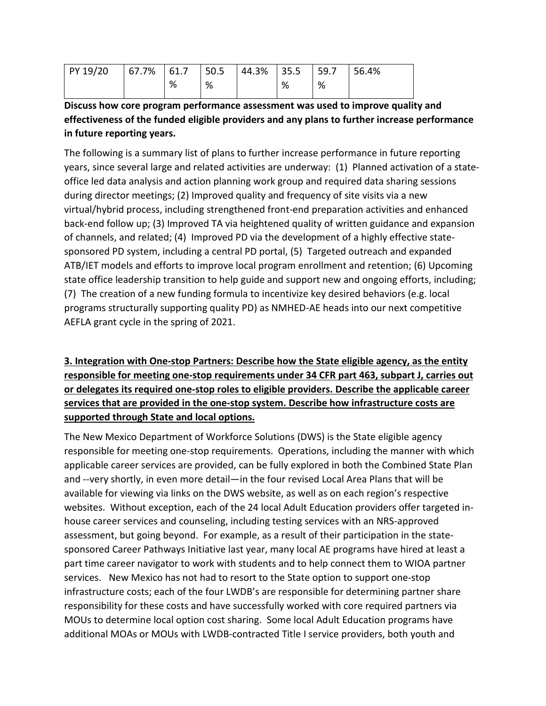| PY 19/20 |   |   | 67.7%   61.7   50.5   44.3%   35.5   59.7 |   |   | 56.4% |
|----------|---|---|-------------------------------------------|---|---|-------|
|          | % | % |                                           | % | % |       |

**Discuss how core program performance assessment was used to improve quality and effectiveness of the funded eligible providers and any plans to further increase performance in future reporting years.** 

The following is a summary list of plans to further increase performance in future reporting years, since several large and related activities are underway: (1) Planned activation of a stateoffice led data analysis and action planning work group and required data sharing sessions during director meetings; (2) Improved quality and frequency of site visits via a new virtual/hybrid process, including strengthened front-end preparation activities and enhanced back-end follow up; (3) Improved TA via heightened quality of written guidance and expansion of channels, and related; (4) Improved PD via the development of a highly effective statesponsored PD system, including a central PD portal, (5) Targeted outreach and expanded ATB/IET models and efforts to improve local program enrollment and retention; (6) Upcoming state office leadership transition to help guide and support new and ongoing efforts, including; (7) The creation of a new funding formula to incentivize key desired behaviors (e.g. local programs structurally supporting quality PD) as NMHED-AE heads into our next competitive AEFLA grant cycle in the spring of 2021.

# **3. Integration with One-stop Partners: Describe how the State eligible agency, as the entity responsible for meeting one-stop requirements under 34 CFR part 463, subpart J, carries out or delegates its required one-stop roles to eligible providers. Describe the applicable career services that are provided in the one-stop system. Describe how infrastructure costs are supported through State and local options.**

The New Mexico Department of Workforce Solutions (DWS) is the State eligible agency responsible for meeting one-stop requirements. Operations, including the manner with which applicable career services are provided, can be fully explored in both the Combined State Plan and --very shortly, in even more detail—in the four revised Local Area Plans that will be available for viewing via links on the DWS website, as well as on each region's respective websites. Without exception, each of the 24 local Adult Education providers offer targeted inhouse career services and counseling, including testing services with an NRS-approved assessment, but going beyond. For example, as a result of their participation in the statesponsored Career Pathways Initiative last year, many local AE programs have hired at least a part time career navigator to work with students and to help connect them to WIOA partner services. New Mexico has not had to resort to the State option to support one-stop infrastructure costs; each of the four LWDB's are responsible for determining partner share responsibility for these costs and have successfully worked with core required partners via MOUs to determine local option cost sharing. Some local Adult Education programs have additional MOAs or MOUs with LWDB-contracted Title I service providers, both youth and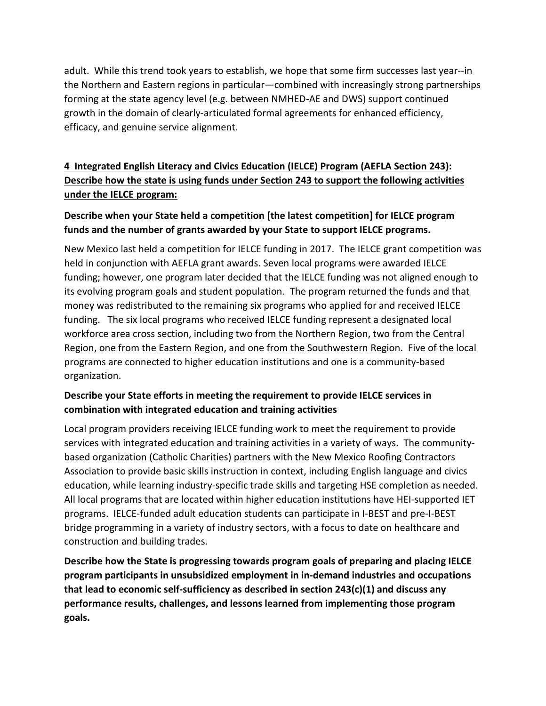adult. While this trend took years to establish, we hope that some firm successes last year--in the Northern and Eastern regions in particular—combined with increasingly strong partnerships forming at the state agency level (e.g. between NMHED-AE and DWS) support continued growth in the domain of clearly-articulated formal agreements for enhanced efficiency, efficacy, and genuine service alignment.

# **4 Integrated English Literacy and Civics Education (IELCE) Program (AEFLA Section 243): Describe how the state is using funds under Section 243 to support the following activities under the IELCE program:**

# **Describe when your State held a competition [the latest competition] for IELCE program funds and the number of grants awarded by your State to support IELCE programs.**

New Mexico last held a competition for IELCE funding in 2017. The IELCE grant competition was held in conjunction with AEFLA grant awards. Seven local programs were awarded IELCE funding; however, one program later decided that the IELCE funding was not aligned enough to its evolving program goals and student population. The program returned the funds and that money was redistributed to the remaining six programs who applied for and received IELCE funding. The six local programs who received IELCE funding represent a designated local workforce area cross section, including two from the Northern Region, two from the Central Region, one from the Eastern Region, and one from the Southwestern Region. Five of the local programs are connected to higher education institutions and one is a community-based organization.

# **Describe your State efforts in meeting the requirement to provide IELCE services in combination with integrated education and training activities**

Local program providers receiving IELCE funding work to meet the requirement to provide services with integrated education and training activities in a variety of ways. The communitybased organization (Catholic Charities) partners with the New Mexico Roofing Contractors Association to provide basic skills instruction in context, including English language and civics education, while learning industry-specific trade skills and targeting HSE completion as needed. All local programs that are located within higher education institutions have HEI-supported IET programs. IELCE-funded adult education students can participate in I-BEST and pre-I-BEST bridge programming in a variety of industry sectors, with a focus to date on healthcare and construction and building trades.

**Describe how the State is progressing towards program goals of preparing and placing IELCE program participants in unsubsidized employment in in-demand industries and occupations that lead to economic self-sufficiency as described in section 243(c)(1) and discuss any performance results, challenges, and lessons learned from implementing those program goals.**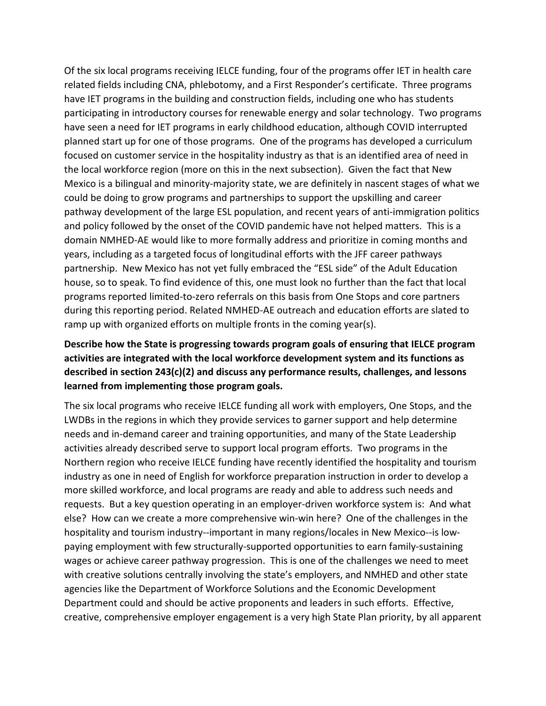Of the six local programs receiving IELCE funding, four of the programs offer IET in health care related fields including CNA, phlebotomy, and a First Responder's certificate. Three programs have IET programs in the building and construction fields, including one who has students participating in introductory courses for renewable energy and solar technology. Two programs have seen a need for IET programs in early childhood education, although COVID interrupted planned start up for one of those programs. One of the programs has developed a curriculum focused on customer service in the hospitality industry as that is an identified area of need in the local workforce region (more on this in the next subsection). Given the fact that New Mexico is a bilingual and minority-majority state, we are definitely in nascent stages of what we could be doing to grow programs and partnerships to support the upskilling and career pathway development of the large ESL population, and recent years of anti-immigration politics and policy followed by the onset of the COVID pandemic have not helped matters. This is a domain NMHED-AE would like to more formally address and prioritize in coming months and years, including as a targeted focus of longitudinal efforts with the JFF career pathways partnership. New Mexico has not yet fully embraced the "ESL side" of the Adult Education house, so to speak. To find evidence of this, one must look no further than the fact that local programs reported limited-to-zero referrals on this basis from One Stops and core partners during this reporting period. Related NMHED-AE outreach and education efforts are slated to ramp up with organized efforts on multiple fronts in the coming year(s).

## **Describe how the State is progressing towards program goals of ensuring that IELCE program activities are integrated with the local workforce development system and its functions as described in section 243(c)(2) and discuss any performance results, challenges, and lessons learned from implementing those program goals.**

The six local programs who receive IELCE funding all work with employers, One Stops, and the LWDBs in the regions in which they provide services to garner support and help determine needs and in-demand career and training opportunities, and many of the State Leadership activities already described serve to support local program efforts. Two programs in the Northern region who receive IELCE funding have recently identified the hospitality and tourism industry as one in need of English for workforce preparation instruction in order to develop a more skilled workforce, and local programs are ready and able to address such needs and requests. But a key question operating in an employer-driven workforce system is: And what else? How can we create a more comprehensive win-win here? One of the challenges in the hospitality and tourism industry--important in many regions/locales in New Mexico--is lowpaying employment with few structurally-supported opportunities to earn family-sustaining wages or achieve career pathway progression. This is one of the challenges we need to meet with creative solutions centrally involving the state's employers, and NMHED and other state agencies like the Department of Workforce Solutions and the Economic Development Department could and should be active proponents and leaders in such efforts. Effective, creative, comprehensive employer engagement is a very high State Plan priority, by all apparent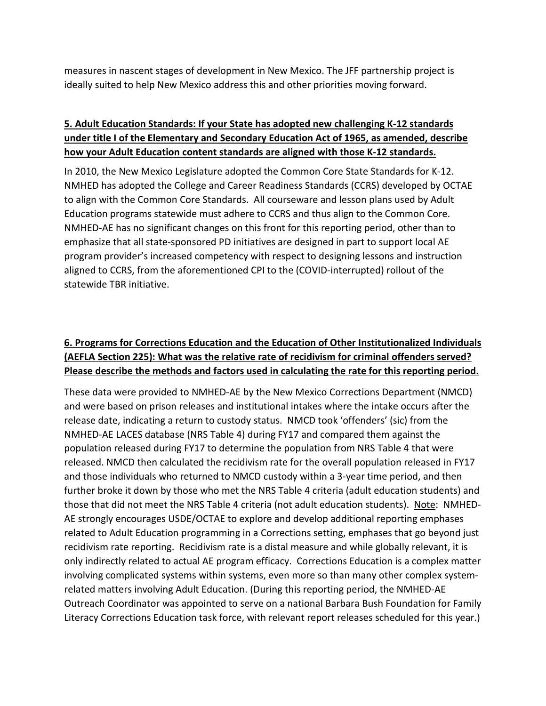measures in nascent stages of development in New Mexico. The JFF partnership project is ideally suited to help New Mexico address this and other priorities moving forward.

# **5. Adult Education Standards: If your State has adopted new challenging K-12 standards under title I of the Elementary and Secondary Education Act of 1965, as amended, describe how your Adult Education content standards are aligned with those K-12 standards.**

In 2010, the New Mexico Legislature adopted the Common Core State Standards for K-12. NMHED has adopted the College and Career Readiness Standards (CCRS) developed by OCTAE to align with the Common Core Standards. All courseware and lesson plans used by Adult Education programs statewide must adhere to CCRS and thus align to the Common Core. NMHED-AE has no significant changes on this front for this reporting period, other than to emphasize that all state-sponsored PD initiatives are designed in part to support local AE program provider's increased competency with respect to designing lessons and instruction aligned to CCRS, from the aforementioned CPI to the (COVID-interrupted) rollout of the statewide TBR initiative.

# **6. Programs for Corrections Education and the Education of Other Institutionalized Individuals (AEFLA Section 225): What was the relative rate of recidivism for criminal offenders served? Please describe the methods and factors used in calculating the rate for this reporting period.**

These data were provided to NMHED-AE by the New Mexico Corrections Department (NMCD) and were based on prison releases and institutional intakes where the intake occurs after the release date, indicating a return to custody status. NMCD took 'offenders' (sic) from the NMHED-AE LACES database (NRS Table 4) during FY17 and compared them against the population released during FY17 to determine the population from NRS Table 4 that were released. NMCD then calculated the recidivism rate for the overall population released in FY17 and those individuals who returned to NMCD custody within a 3-year time period, and then further broke it down by those who met the NRS Table 4 criteria (adult education students) and those that did not meet the NRS Table 4 criteria (not adult education students). Note: NMHED-AE strongly encourages USDE/OCTAE to explore and develop additional reporting emphases related to Adult Education programming in a Corrections setting, emphases that go beyond just recidivism rate reporting. Recidivism rate is a distal measure and while globally relevant, it is only indirectly related to actual AE program efficacy. Corrections Education is a complex matter involving complicated systems within systems, even more so than many other complex systemrelated matters involving Adult Education. (During this reporting period, the NMHED-AE Outreach Coordinator was appointed to serve on a national Barbara Bush Foundation for Family Literacy Corrections Education task force, with relevant report releases scheduled for this year.)